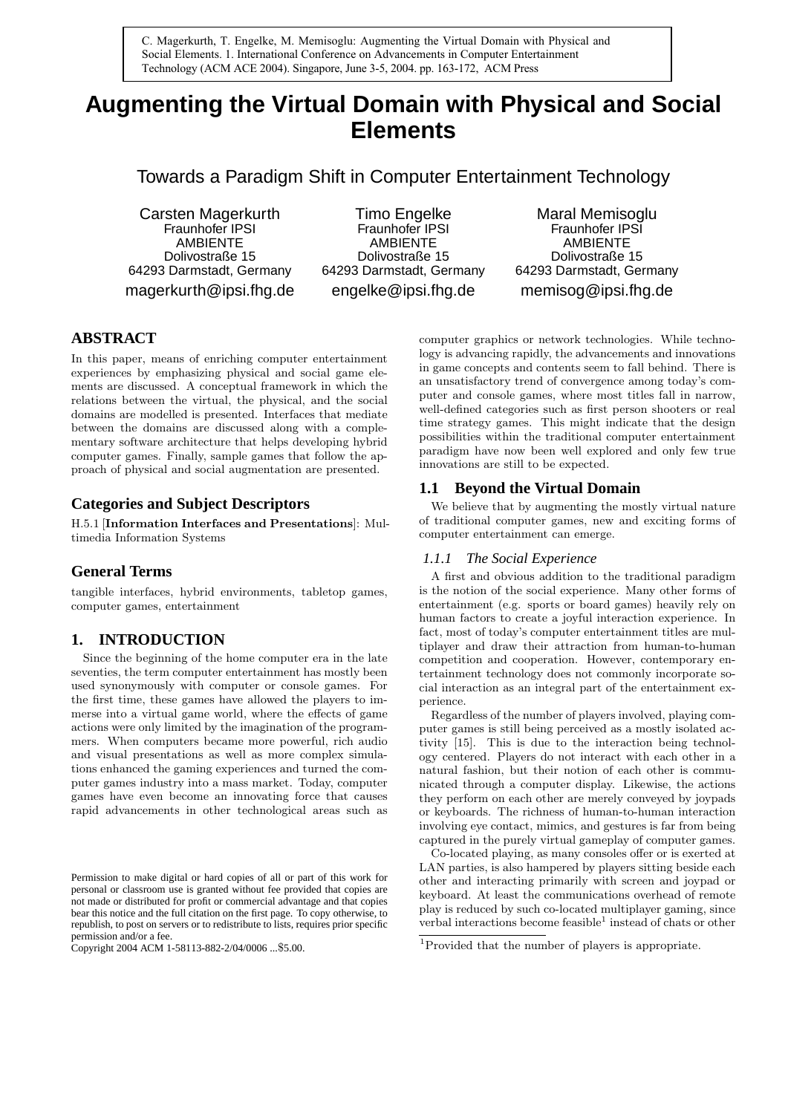C. Magerkurth, T. Engelke, M. Memisoglu: Augmenting the Virtual Domain with Physical and Social Elements. 1. International Conference on Advancements in Computer Entertainment Technology (ACM ACE 2004). Singapore, June 3-5, 2004. pp. 163-172, ACM Press

# **Augmenting the Virtual Domain with Physical and Social Elements**

Towards a Paradigm Shift in Computer Entertainment Technology

Carsten Magerkurth Fraunhofer IPSI AMBIENTE Dolivostraße 15 64293 Darmstadt, Germany magerkurth@ipsi.fhg.de

Timo Engelke Fraunhofer IPSI AMBIENTE Dolivostraße 15 64293 Darmstadt, Germany engelke@ipsi.fhg.de

Maral Memisoglu Fraunhofer IPSI AMBIENTE Dolivostraße 15 64293 Darmstadt, Germany memisog@ipsi.fhg.de

# **ABSTRACT**

In this paper, means of enriching computer entertainment experiences by emphasizing physical and social game elements are discussed. A conceptual framework in which the relations between the virtual, the physical, and the social domains are modelled is presented. Interfaces that mediate between the domains are discussed along with a complementary software architecture that helps developing hybrid computer games. Finally, sample games that follow the approach of physical and social augmentation are presented.

# **Categories and Subject Descriptors**

H.5.1 [Information Interfaces and Presentations]: Multimedia Information Systems

## **General Terms**

tangible interfaces, hybrid environments, tabletop games, computer games, entertainment

# **1. INTRODUCTION**

Since the beginning of the home computer era in the late seventies, the term computer entertainment has mostly been used synonymously with computer or console games. For the first time, these games have allowed the players to immerse into a virtual game world, where the effects of game actions were only limited by the imagination of the programmers. When computers became more powerful, rich audio and visual presentations as well as more complex simulations enhanced the gaming experiences and turned the computer games industry into a mass market. Today, computer games have even become an innovating force that causes rapid advancements in other technological areas such as

computer graphics or network technologies. While technology is advancing rapidly, the advancements and innovations in game concepts and contents seem to fall behind. There is an unsatisfactory trend of convergence among today's computer and console games, where most titles fall in narrow, well-defined categories such as first person shooters or real time strategy games. This might indicate that the design possibilities within the traditional computer entertainment paradigm have now been well explored and only few true innovations are still to be expected.

## **1.1 Beyond the Virtual Domain**

We believe that by augmenting the mostly virtual nature of traditional computer games, new and exciting forms of computer entertainment can emerge.

#### *1.1.1 The Social Experience*

A first and obvious addition to the traditional paradigm is the notion of the social experience. Many other forms of entertainment (e.g. sports or board games) heavily rely on human factors to create a joyful interaction experience. In fact, most of today's computer entertainment titles are multiplayer and draw their attraction from human-to-human competition and cooperation. However, contemporary entertainment technology does not commonly incorporate social interaction as an integral part of the entertainment experience.

Regardless of the number of players involved, playing computer games is still being perceived as a mostly isolated activity [15]. This is due to the interaction being technology centered. Players do not interact with each other in a natural fashion, but their notion of each other is communicated through a computer display. Likewise, the actions they perform on each other are merely conveyed by joypads or keyboards. The richness of human-to-human interaction involving eye contact, mimics, and gestures is far from being captured in the purely virtual gameplay of computer games.

Co-located playing, as many consoles offer or is exerted at LAN parties, is also hampered by players sitting beside each other and interacting primarily with screen and joypad or keyboard. At least the communications overhead of remote play is reduced by such co-located multiplayer gaming, since verbal interactions become feasible<sup>1</sup> instead of chats or other

Permission to make digital or hard copies of all or part of this work for personal or classroom use is granted without fee provided that copies are not made or distributed for profit or commercial advantage and that copies bear this notice and the full citation on the first page. To copy otherwise, to republish, to post on servers or to redistribute to lists, requires prior specific permission and/or a fee.

Copyright 2004 ACM 1-58113-882-2/04/0006 ...\$5.00.

<sup>1</sup>Provided that the number of players is appropriate.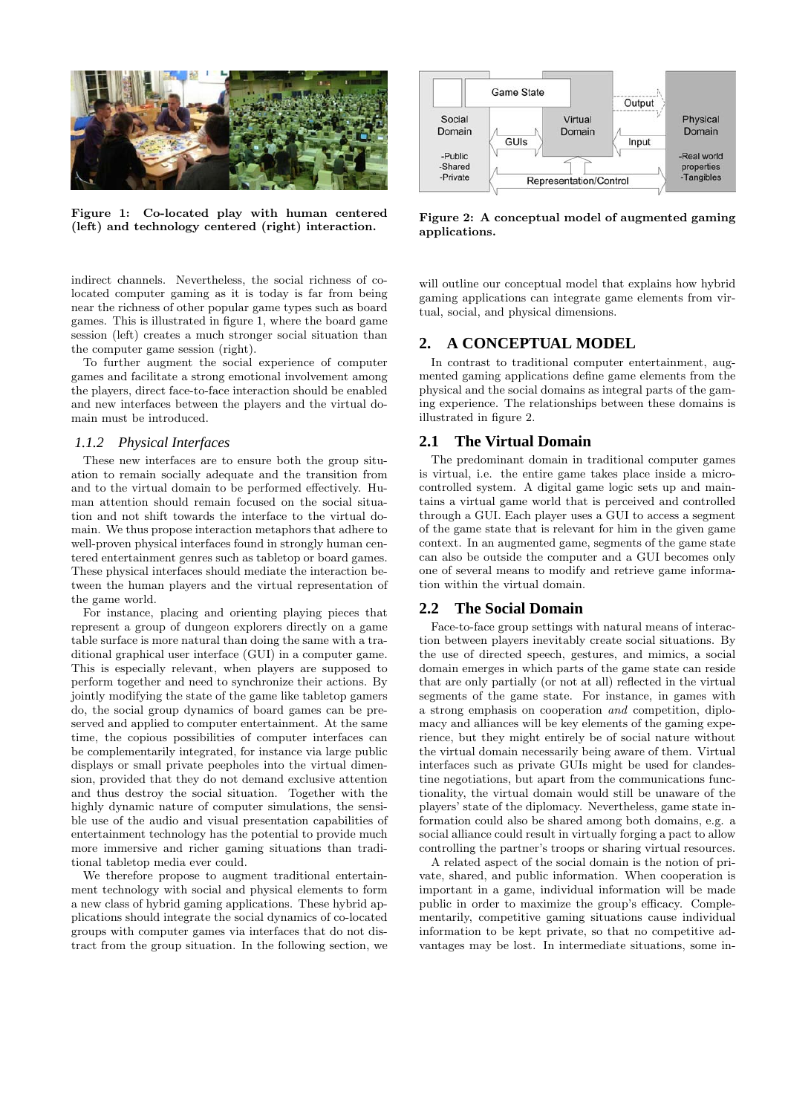

Figure 1: Co-located play with human centered (left) and technology centered (right) interaction.

indirect channels. Nevertheless, the social richness of colocated computer gaming as it is today is far from being near the richness of other popular game types such as board games. This is illustrated in figure 1, where the board game session (left) creates a much stronger social situation than the computer game session (right).

To further augment the social experience of computer games and facilitate a strong emotional involvement among the players, direct face-to-face interaction should be enabled and new interfaces between the players and the virtual domain must be introduced.

## *1.1.2 Physical Interfaces*

These new interfaces are to ensure both the group situation to remain socially adequate and the transition from and to the virtual domain to be performed effectively. Human attention should remain focused on the social situation and not shift towards the interface to the virtual domain. We thus propose interaction metaphors that adhere to well-proven physical interfaces found in strongly human centered entertainment genres such as tabletop or board games. These physical interfaces should mediate the interaction between the human players and the virtual representation of the game world.

For instance, placing and orienting playing pieces that represent a group of dungeon explorers directly on a game table surface is more natural than doing the same with a traditional graphical user interface (GUI) in a computer game. This is especially relevant, when players are supposed to perform together and need to synchronize their actions. By jointly modifying the state of the game like tabletop gamers do, the social group dynamics of board games can be preserved and applied to computer entertainment. At the same time, the copious possibilities of computer interfaces can be complementarily integrated, for instance via large public displays or small private peepholes into the virtual dimension, provided that they do not demand exclusive attention and thus destroy the social situation. Together with the highly dynamic nature of computer simulations, the sensible use of the audio and visual presentation capabilities of entertainment technology has the potential to provide much more immersive and richer gaming situations than traditional tabletop media ever could.

We therefore propose to augment traditional entertainment technology with social and physical elements to form a new class of hybrid gaming applications. These hybrid applications should integrate the social dynamics of co-located groups with computer games via interfaces that do not distract from the group situation. In the following section, we



Figure 2: A conceptual model of augmented gaming applications.

will outline our conceptual model that explains how hybrid gaming applications can integrate game elements from virtual, social, and physical dimensions.

# **2. A CONCEPTUAL MODEL**

In contrast to traditional computer entertainment, augmented gaming applications define game elements from the physical and the social domains as integral parts of the gaming experience. The relationships between these domains is illustrated in figure 2.

## **2.1 The Virtual Domain**

The predominant domain in traditional computer games is virtual, i.e. the entire game takes place inside a microcontrolled system. A digital game logic sets up and maintains a virtual game world that is perceived and controlled through a GUI. Each player uses a GUI to access a segment of the game state that is relevant for him in the given game context. In an augmented game, segments of the game state can also be outside the computer and a GUI becomes only one of several means to modify and retrieve game information within the virtual domain.

## **2.2 The Social Domain**

Face-to-face group settings with natural means of interaction between players inevitably create social situations. By the use of directed speech, gestures, and mimics, a social domain emerges in which parts of the game state can reside that are only partially (or not at all) reflected in the virtual segments of the game state. For instance, in games with a strong emphasis on cooperation and competition, diplomacy and alliances will be key elements of the gaming experience, but they might entirely be of social nature without the virtual domain necessarily being aware of them. Virtual interfaces such as private GUIs might be used for clandestine negotiations, but apart from the communications functionality, the virtual domain would still be unaware of the players' state of the diplomacy. Nevertheless, game state information could also be shared among both domains, e.g. a social alliance could result in virtually forging a pact to allow controlling the partner's troops or sharing virtual resources.

A related aspect of the social domain is the notion of private, shared, and public information. When cooperation is important in a game, individual information will be made public in order to maximize the group's efficacy. Complementarily, competitive gaming situations cause individual information to be kept private, so that no competitive advantages may be lost. In intermediate situations, some in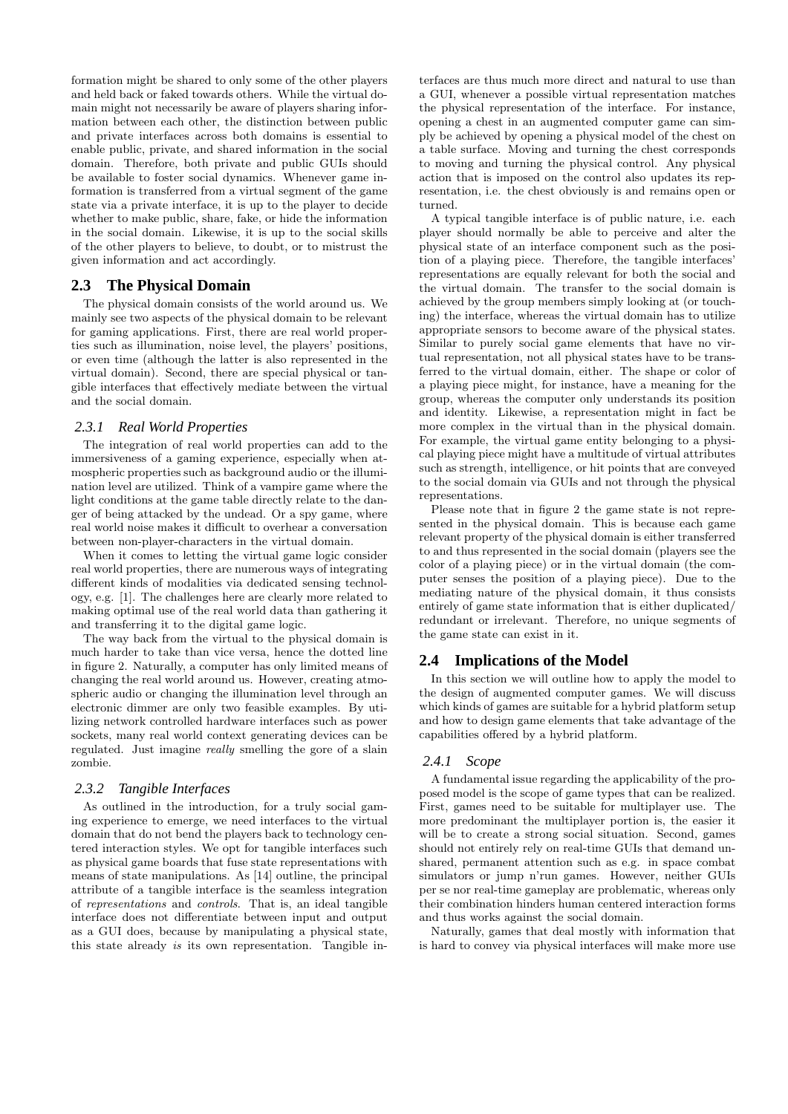formation might be shared to only some of the other players and held back or faked towards others. While the virtual domain might not necessarily be aware of players sharing information between each other, the distinction between public and private interfaces across both domains is essential to enable public, private, and shared information in the social domain. Therefore, both private and public GUIs should be available to foster social dynamics. Whenever game information is transferred from a virtual segment of the game state via a private interface, it is up to the player to decide whether to make public, share, fake, or hide the information in the social domain. Likewise, it is up to the social skills of the other players to believe, to doubt, or to mistrust the given information and act accordingly.

## **2.3 The Physical Domain**

The physical domain consists of the world around us. We mainly see two aspects of the physical domain to be relevant for gaming applications. First, there are real world properties such as illumination, noise level, the players' positions, or even time (although the latter is also represented in the virtual domain). Second, there are special physical or tangible interfaces that effectively mediate between the virtual and the social domain.

#### *2.3.1 Real World Properties*

The integration of real world properties can add to the immersiveness of a gaming experience, especially when atmospheric properties such as background audio or the illumination level are utilized. Think of a vampire game where the light conditions at the game table directly relate to the danger of being attacked by the undead. Or a spy game, where real world noise makes it difficult to overhear a conversation between non-player-characters in the virtual domain.

When it comes to letting the virtual game logic consider real world properties, there are numerous ways of integrating different kinds of modalities via dedicated sensing technology, e.g. [1]. The challenges here are clearly more related to making optimal use of the real world data than gathering it and transferring it to the digital game logic.

The way back from the virtual to the physical domain is much harder to take than vice versa, hence the dotted line in figure 2. Naturally, a computer has only limited means of changing the real world around us. However, creating atmospheric audio or changing the illumination level through an electronic dimmer are only two feasible examples. By utilizing network controlled hardware interfaces such as power sockets, many real world context generating devices can be regulated. Just imagine really smelling the gore of a slain zombie.

#### *2.3.2 Tangible Interfaces*

As outlined in the introduction, for a truly social gaming experience to emerge, we need interfaces to the virtual domain that do not bend the players back to technology centered interaction styles. We opt for tangible interfaces such as physical game boards that fuse state representations with means of state manipulations. As [14] outline, the principal attribute of a tangible interface is the seamless integration of representations and controls. That is, an ideal tangible interface does not differentiate between input and output as a GUI does, because by manipulating a physical state, this state already is its own representation. Tangible in-

terfaces are thus much more direct and natural to use than a GUI, whenever a possible virtual representation matches the physical representation of the interface. For instance, opening a chest in an augmented computer game can simply be achieved by opening a physical model of the chest on a table surface. Moving and turning the chest corresponds to moving and turning the physical control. Any physical action that is imposed on the control also updates its representation, i.e. the chest obviously is and remains open or turned.

A typical tangible interface is of public nature, i.e. each player should normally be able to perceive and alter the physical state of an interface component such as the position of a playing piece. Therefore, the tangible interfaces' representations are equally relevant for both the social and the virtual domain. The transfer to the social domain is achieved by the group members simply looking at (or touching) the interface, whereas the virtual domain has to utilize appropriate sensors to become aware of the physical states. Similar to purely social game elements that have no virtual representation, not all physical states have to be transferred to the virtual domain, either. The shape or color of a playing piece might, for instance, have a meaning for the group, whereas the computer only understands its position and identity. Likewise, a representation might in fact be more complex in the virtual than in the physical domain. For example, the virtual game entity belonging to a physical playing piece might have a multitude of virtual attributes such as strength, intelligence, or hit points that are conveyed to the social domain via GUIs and not through the physical representations.

Please note that in figure 2 the game state is not represented in the physical domain. This is because each game relevant property of the physical domain is either transferred to and thus represented in the social domain (players see the color of a playing piece) or in the virtual domain (the computer senses the position of a playing piece). Due to the mediating nature of the physical domain, it thus consists entirely of game state information that is either duplicated/ redundant or irrelevant. Therefore, no unique segments of the game state can exist in it.

## **2.4 Implications of the Model**

In this section we will outline how to apply the model to the design of augmented computer games. We will discuss which kinds of games are suitable for a hybrid platform setup and how to design game elements that take advantage of the capabilities offered by a hybrid platform.

#### *2.4.1 Scope*

A fundamental issue regarding the applicability of the proposed model is the scope of game types that can be realized. First, games need to be suitable for multiplayer use. The more predominant the multiplayer portion is, the easier it will be to create a strong social situation. Second, games should not entirely rely on real-time GUIs that demand unshared, permanent attention such as e.g. in space combat simulators or jump n'run games. However, neither GUIs per se nor real-time gameplay are problematic, whereas only their combination hinders human centered interaction forms and thus works against the social domain.

Naturally, games that deal mostly with information that is hard to convey via physical interfaces will make more use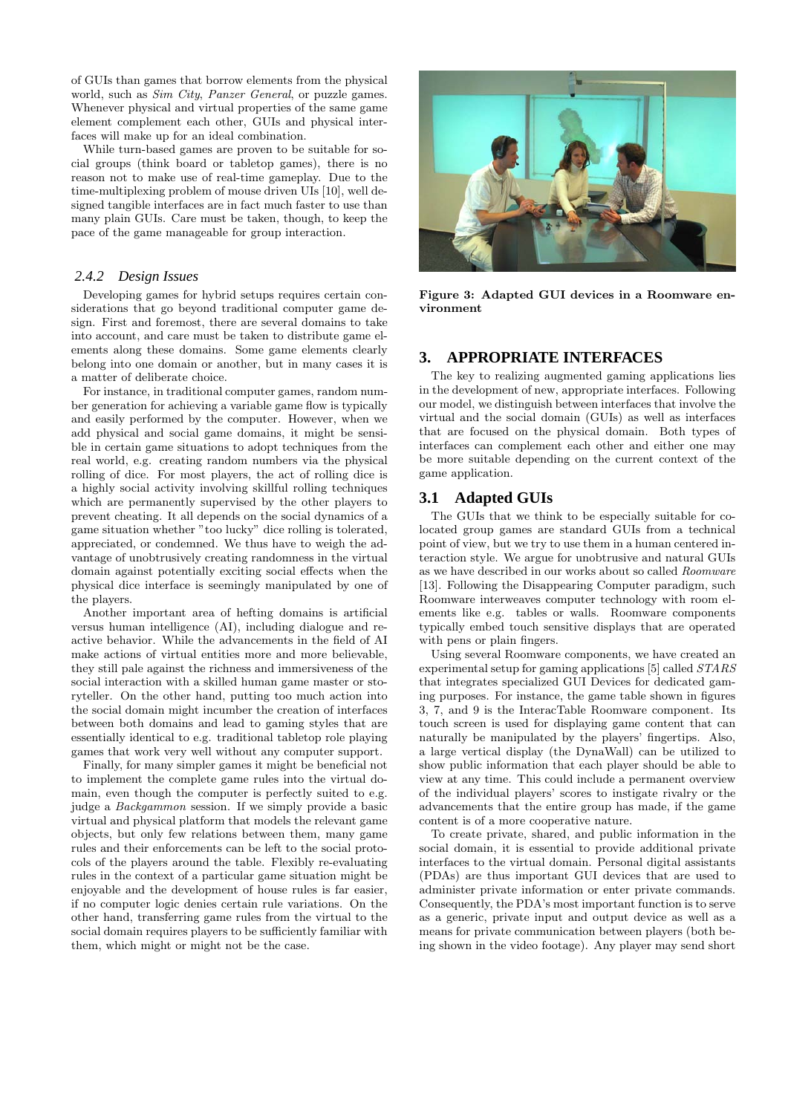of GUIs than games that borrow elements from the physical world, such as Sim City, Panzer General, or puzzle games. Whenever physical and virtual properties of the same game element complement each other, GUIs and physical interfaces will make up for an ideal combination.

While turn-based games are proven to be suitable for social groups (think board or tabletop games), there is no reason not to make use of real-time gameplay. Due to the time-multiplexing problem of mouse driven UIs [10], well designed tangible interfaces are in fact much faster to use than many plain GUIs. Care must be taken, though, to keep the pace of the game manageable for group interaction.

#### *2.4.2 Design Issues*

Developing games for hybrid setups requires certain considerations that go beyond traditional computer game design. First and foremost, there are several domains to take into account, and care must be taken to distribute game elements along these domains. Some game elements clearly belong into one domain or another, but in many cases it is a matter of deliberate choice.

For instance, in traditional computer games, random number generation for achieving a variable game flow is typically and easily performed by the computer. However, when we add physical and social game domains, it might be sensible in certain game situations to adopt techniques from the real world, e.g. creating random numbers via the physical rolling of dice. For most players, the act of rolling dice is a highly social activity involving skillful rolling techniques which are permanently supervised by the other players to prevent cheating. It all depends on the social dynamics of a game situation whether "too lucky" dice rolling is tolerated, appreciated, or condemned. We thus have to weigh the advantage of unobtrusively creating randomness in the virtual domain against potentially exciting social effects when the physical dice interface is seemingly manipulated by one of the players.

Another important area of hefting domains is artificial versus human intelligence (AI), including dialogue and reactive behavior. While the advancements in the field of AI make actions of virtual entities more and more believable, they still pale against the richness and immersiveness of the social interaction with a skilled human game master or storyteller. On the other hand, putting too much action into the social domain might incumber the creation of interfaces between both domains and lead to gaming styles that are essentially identical to e.g. traditional tabletop role playing games that work very well without any computer support.

Finally, for many simpler games it might be beneficial not to implement the complete game rules into the virtual domain, even though the computer is perfectly suited to e.g. judge a Backgammon session. If we simply provide a basic virtual and physical platform that models the relevant game objects, but only few relations between them, many game rules and their enforcements can be left to the social protocols of the players around the table. Flexibly re-evaluating rules in the context of a particular game situation might be enjoyable and the development of house rules is far easier, if no computer logic denies certain rule variations. On the other hand, transferring game rules from the virtual to the social domain requires players to be sufficiently familiar with them, which might or might not be the case.



Figure 3: Adapted GUI devices in a Roomware environment

# **3. APPROPRIATE INTERFACES**

The key to realizing augmented gaming applications lies in the development of new, appropriate interfaces. Following our model, we distinguish between interfaces that involve the virtual and the social domain (GUIs) as well as interfaces that are focused on the physical domain. Both types of interfaces can complement each other and either one may be more suitable depending on the current context of the game application.

## **3.1 Adapted GUIs**

The GUIs that we think to be especially suitable for colocated group games are standard GUIs from a technical point of view, but we try to use them in a human centered interaction style. We argue for unobtrusive and natural GUIs as we have described in our works about so called Roomware [13]. Following the Disappearing Computer paradigm, such Roomware interweaves computer technology with room elements like e.g. tables or walls. Roomware components typically embed touch sensitive displays that are operated with pens or plain fingers.

Using several Roomware components, we have created an experimental setup for gaming applications [5] called STARS that integrates specialized GUI Devices for dedicated gaming purposes. For instance, the game table shown in figures 3, 7, and 9 is the InteracTable Roomware component. Its touch screen is used for displaying game content that can naturally be manipulated by the players' fingertips. Also, a large vertical display (the DynaWall) can be utilized to show public information that each player should be able to view at any time. This could include a permanent overview of the individual players' scores to instigate rivalry or the advancements that the entire group has made, if the game content is of a more cooperative nature.

To create private, shared, and public information in the social domain, it is essential to provide additional private interfaces to the virtual domain. Personal digital assistants (PDAs) are thus important GUI devices that are used to administer private information or enter private commands. Consequently, the PDA's most important function is to serve as a generic, private input and output device as well as a means for private communication between players (both being shown in the video footage). Any player may send short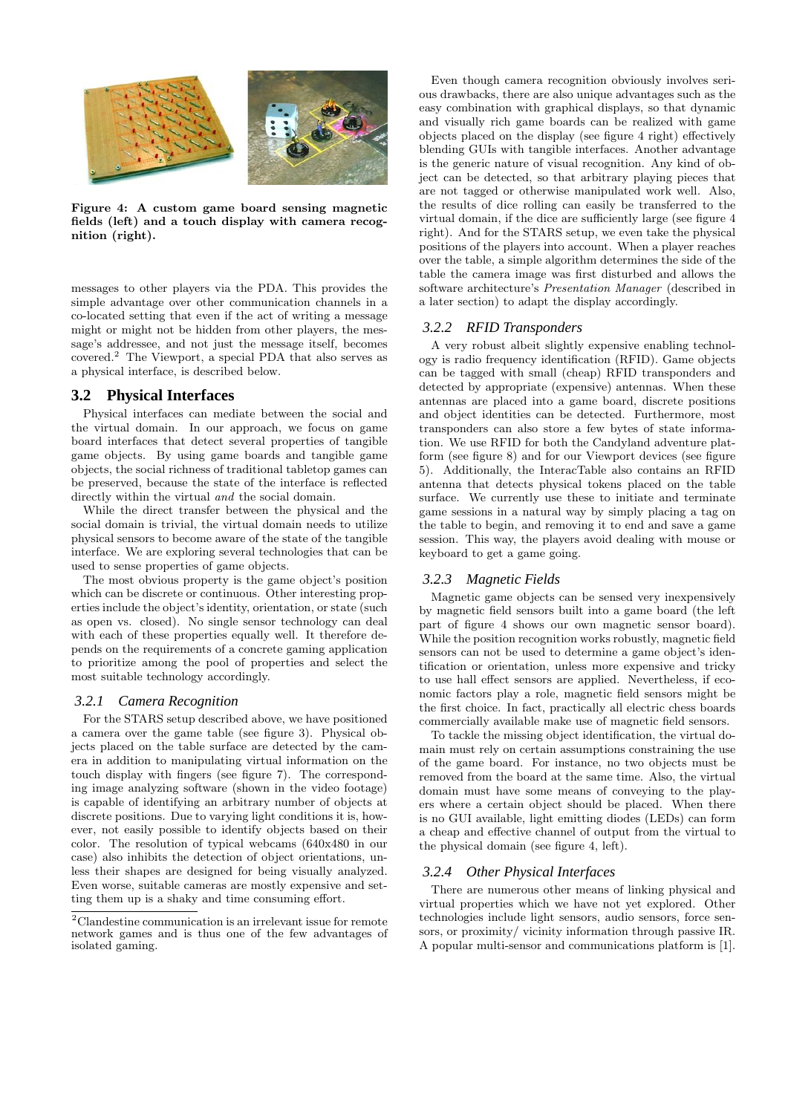

Figure 4: A custom game board sensing magnetic fields (left) and a touch display with camera recognition (right).

messages to other players via the PDA. This provides the simple advantage over other communication channels in a co-located setting that even if the act of writing a message might or might not be hidden from other players, the message's addressee, and not just the message itself, becomes covered.<sup>2</sup> The Viewport, a special PDA that also serves as a physical interface, is described below.

#### **3.2 Physical Interfaces**

Physical interfaces can mediate between the social and the virtual domain. In our approach, we focus on game board interfaces that detect several properties of tangible game objects. By using game boards and tangible game objects, the social richness of traditional tabletop games can be preserved, because the state of the interface is reflected directly within the virtual *and* the social domain.

While the direct transfer between the physical and the social domain is trivial, the virtual domain needs to utilize physical sensors to become aware of the state of the tangible interface. We are exploring several technologies that can be used to sense properties of game objects.

The most obvious property is the game object's position which can be discrete or continuous. Other interesting properties include the object's identity, orientation, or state (such as open vs. closed). No single sensor technology can deal with each of these properties equally well. It therefore depends on the requirements of a concrete gaming application to prioritize among the pool of properties and select the most suitable technology accordingly.

#### *3.2.1 Camera Recognition*

For the STARS setup described above, we have positioned a camera over the game table (see figure 3). Physical objects placed on the table surface are detected by the camera in addition to manipulating virtual information on the touch display with fingers (see figure 7). The corresponding image analyzing software (shown in the video footage) is capable of identifying an arbitrary number of objects at discrete positions. Due to varying light conditions it is, however, not easily possible to identify objects based on their color. The resolution of typical webcams (640x480 in our case) also inhibits the detection of object orientations, unless their shapes are designed for being visually analyzed. Even worse, suitable cameras are mostly expensive and setting them up is a shaky and time consuming effort.

Even though camera recognition obviously involves serious drawbacks, there are also unique advantages such as the easy combination with graphical displays, so that dynamic and visually rich game boards can be realized with game objects placed on the display (see figure 4 right) effectively blending GUIs with tangible interfaces. Another advantage is the generic nature of visual recognition. Any kind of object can be detected, so that arbitrary playing pieces that are not tagged or otherwise manipulated work well. Also, the results of dice rolling can easily be transferred to the virtual domain, if the dice are sufficiently large (see figure 4 right). And for the STARS setup, we even take the physical positions of the players into account. When a player reaches over the table, a simple algorithm determines the side of the table the camera image was first disturbed and allows the software architecture's Presentation Manager (described in a later section) to adapt the display accordingly.

#### *3.2.2 RFID Transponders*

A very robust albeit slightly expensive enabling technology is radio frequency identification (RFID). Game objects can be tagged with small (cheap) RFID transponders and detected by appropriate (expensive) antennas. When these antennas are placed into a game board, discrete positions and object identities can be detected. Furthermore, most transponders can also store a few bytes of state information. We use RFID for both the Candyland adventure platform (see figure 8) and for our Viewport devices (see figure 5). Additionally, the InteracTable also contains an RFID antenna that detects physical tokens placed on the table surface. We currently use these to initiate and terminate game sessions in a natural way by simply placing a tag on the table to begin, and removing it to end and save a game session. This way, the players avoid dealing with mouse or keyboard to get a game going.

#### *3.2.3 Magnetic Fields*

Magnetic game objects can be sensed very inexpensively by magnetic field sensors built into a game board (the left part of figure 4 shows our own magnetic sensor board). While the position recognition works robustly, magnetic field sensors can not be used to determine a game object's identification or orientation, unless more expensive and tricky to use hall effect sensors are applied. Nevertheless, if economic factors play a role, magnetic field sensors might be the first choice. In fact, practically all electric chess boards commercially available make use of magnetic field sensors.

To tackle the missing object identification, the virtual domain must rely on certain assumptions constraining the use of the game board. For instance, no two objects must be removed from the board at the same time. Also, the virtual domain must have some means of conveying to the players where a certain object should be placed. When there is no GUI available, light emitting diodes (LEDs) can form a cheap and effective channel of output from the virtual to the physical domain (see figure 4, left).

#### *3.2.4 Other Physical Interfaces*

There are numerous other means of linking physical and virtual properties which we have not yet explored. Other technologies include light sensors, audio sensors, force sensors, or proximity/ vicinity information through passive IR. A popular multi-sensor and communications platform is [1].

<sup>2</sup>Clandestine communication is an irrelevant issue for remote network games and is thus one of the few advantages of isolated gaming.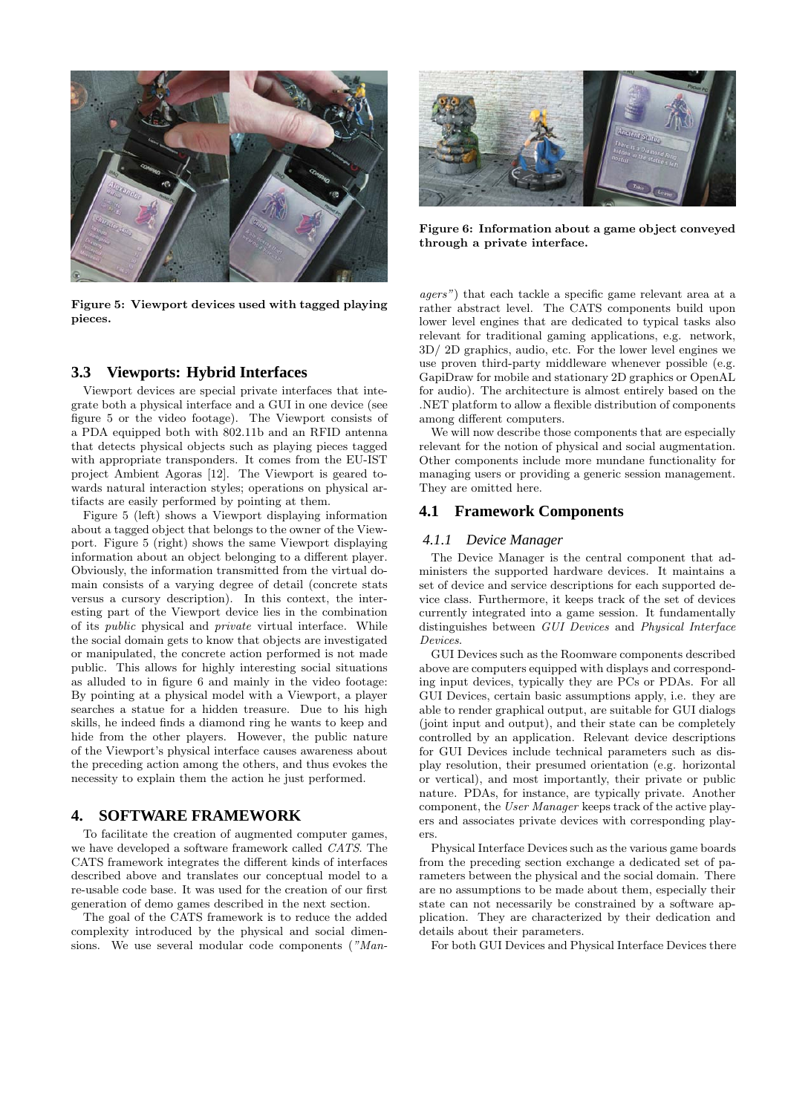

Figure 5: Viewport devices used with tagged playing pieces.

# **3.3 Viewports: Hybrid Interfaces**

Viewport devices are special private interfaces that integrate both a physical interface and a GUI in one device (see figure 5 or the video footage). The Viewport consists of a PDA equipped both with 802.11b and an RFID antenna that detects physical objects such as playing pieces tagged with appropriate transponders. It comes from the EU-IST project Ambient Agoras [12]. The Viewport is geared towards natural interaction styles; operations on physical artifacts are easily performed by pointing at them.

Figure 5 (left) shows a Viewport displaying information about a tagged object that belongs to the owner of the Viewport. Figure 5 (right) shows the same Viewport displaying information about an object belonging to a different player. Obviously, the information transmitted from the virtual domain consists of a varying degree of detail (concrete stats versus a cursory description). In this context, the interesting part of the Viewport device lies in the combination of its public physical and private virtual interface. While the social domain gets to know that objects are investigated or manipulated, the concrete action performed is not made public. This allows for highly interesting social situations as alluded to in figure 6 and mainly in the video footage: By pointing at a physical model with a Viewport, a player searches a statue for a hidden treasure. Due to his high skills, he indeed finds a diamond ring he wants to keep and hide from the other players. However, the public nature of the Viewport's physical interface causes awareness about the preceding action among the others, and thus evokes the necessity to explain them the action he just performed.

## **4. SOFTWARE FRAMEWORK**

To facilitate the creation of augmented computer games, we have developed a software framework called CATS. The CATS framework integrates the different kinds of interfaces described above and translates our conceptual model to a re-usable code base. It was used for the creation of our first generation of demo games described in the next section.

The goal of the CATS framework is to reduce the added complexity introduced by the physical and social dimensions. We use several modular code components ("Man-



Figure 6: Information about a game object conveyed through a private interface.

agers") that each tackle a specific game relevant area at a rather abstract level. The CATS components build upon lower level engines that are dedicated to typical tasks also relevant for traditional gaming applications, e.g. network, 3D/ 2D graphics, audio, etc. For the lower level engines we use proven third-party middleware whenever possible (e.g. GapiDraw for mobile and stationary 2D graphics or OpenAL for audio). The architecture is almost entirely based on the .NET platform to allow a flexible distribution of components among different computers.

We will now describe those components that are especially relevant for the notion of physical and social augmentation. Other components include more mundane functionality for managing users or providing a generic session management. They are omitted here.

#### **4.1 Framework Components**

#### *4.1.1 Device Manager*

The Device Manager is the central component that administers the supported hardware devices. It maintains a set of device and service descriptions for each supported device class. Furthermore, it keeps track of the set of devices currently integrated into a game session. It fundamentally distinguishes between GUI Devices and Physical Interface Devices.

GUI Devices such as the Roomware components described above are computers equipped with displays and corresponding input devices, typically they are PCs or PDAs. For all GUI Devices, certain basic assumptions apply, i.e. they are able to render graphical output, are suitable for GUI dialogs (joint input and output), and their state can be completely controlled by an application. Relevant device descriptions for GUI Devices include technical parameters such as display resolution, their presumed orientation (e.g. horizontal or vertical), and most importantly, their private or public nature. PDAs, for instance, are typically private. Another component, the User Manager keeps track of the active players and associates private devices with corresponding players.

Physical Interface Devices such as the various game boards from the preceding section exchange a dedicated set of parameters between the physical and the social domain. There are no assumptions to be made about them, especially their state can not necessarily be constrained by a software application. They are characterized by their dedication and details about their parameters.

For both GUI Devices and Physical Interface Devices there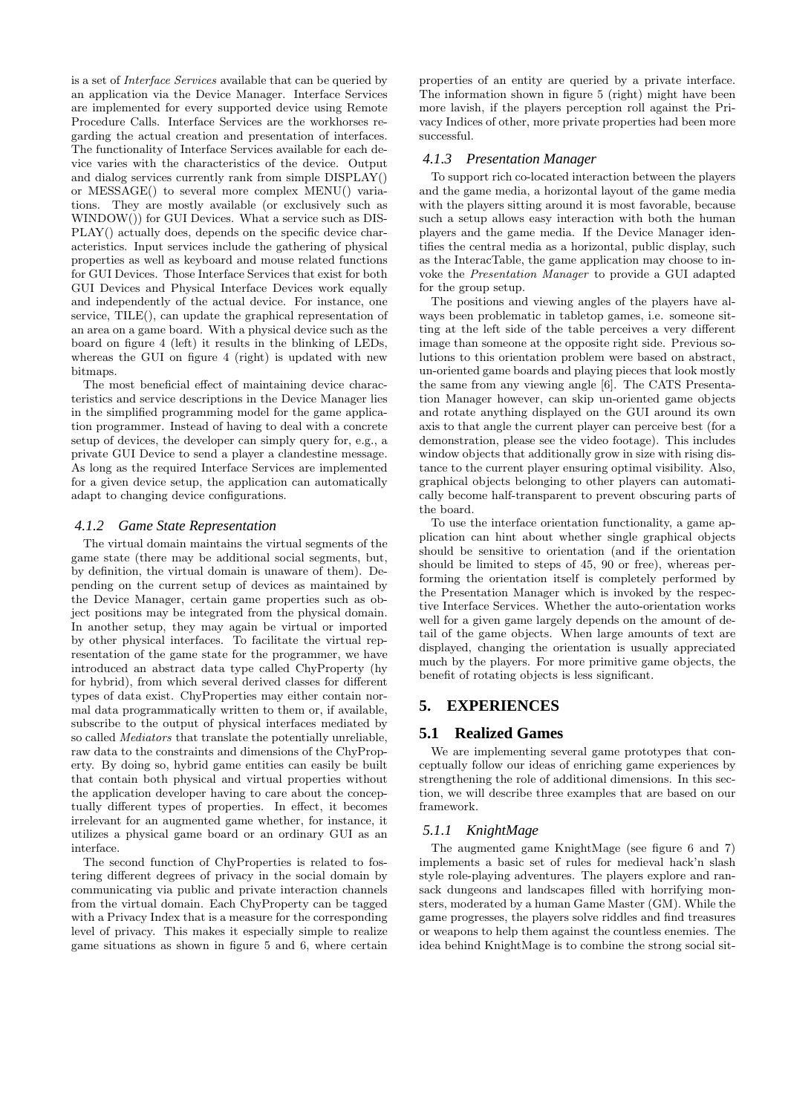is a set of Interface Services available that can be queried by an application via the Device Manager. Interface Services are implemented for every supported device using Remote Procedure Calls. Interface Services are the workhorses regarding the actual creation and presentation of interfaces. The functionality of Interface Services available for each device varies with the characteristics of the device. Output and dialog services currently rank from simple DISPLAY() or MESSAGE() to several more complex MENU() variations. They are mostly available (or exclusively such as WINDOW()) for GUI Devices. What a service such as DIS-PLAY() actually does, depends on the specific device characteristics. Input services include the gathering of physical properties as well as keyboard and mouse related functions for GUI Devices. Those Interface Services that exist for both GUI Devices and Physical Interface Devices work equally and independently of the actual device. For instance, one service, TILE(), can update the graphical representation of an area on a game board. With a physical device such as the board on figure 4 (left) it results in the blinking of LEDs, whereas the GUI on figure 4 (right) is updated with new bitmaps.

The most beneficial effect of maintaining device characteristics and service descriptions in the Device Manager lies in the simplified programming model for the game application programmer. Instead of having to deal with a concrete setup of devices, the developer can simply query for, e.g., a private GUI Device to send a player a clandestine message. As long as the required Interface Services are implemented for a given device setup, the application can automatically adapt to changing device configurations.

#### *4.1.2 Game State Representation*

The virtual domain maintains the virtual segments of the game state (there may be additional social segments, but, by definition, the virtual domain is unaware of them). Depending on the current setup of devices as maintained by the Device Manager, certain game properties such as object positions may be integrated from the physical domain. In another setup, they may again be virtual or imported by other physical interfaces. To facilitate the virtual representation of the game state for the programmer, we have introduced an abstract data type called ChyProperty (hy for hybrid), from which several derived classes for different types of data exist. ChyProperties may either contain normal data programmatically written to them or, if available, subscribe to the output of physical interfaces mediated by so called Mediators that translate the potentially unreliable, raw data to the constraints and dimensions of the ChyProperty. By doing so, hybrid game entities can easily be built that contain both physical and virtual properties without the application developer having to care about the conceptually different types of properties. In effect, it becomes irrelevant for an augmented game whether, for instance, it utilizes a physical game board or an ordinary GUI as an interface.

The second function of ChyProperties is related to fostering different degrees of privacy in the social domain by communicating via public and private interaction channels from the virtual domain. Each ChyProperty can be tagged with a Privacy Index that is a measure for the corresponding level of privacy. This makes it especially simple to realize game situations as shown in figure 5 and 6, where certain

properties of an entity are queried by a private interface. The information shown in figure 5 (right) might have been more lavish, if the players perception roll against the Privacy Indices of other, more private properties had been more successful.

#### *4.1.3 Presentation Manager*

To support rich co-located interaction between the players and the game media, a horizontal layout of the game media with the players sitting around it is most favorable, because such a setup allows easy interaction with both the human players and the game media. If the Device Manager identifies the central media as a horizontal, public display, such as the InteracTable, the game application may choose to invoke the Presentation Manager to provide a GUI adapted for the group setup.

The positions and viewing angles of the players have always been problematic in tabletop games, i.e. someone sitting at the left side of the table perceives a very different image than someone at the opposite right side. Previous solutions to this orientation problem were based on abstract, un-oriented game boards and playing pieces that look mostly the same from any viewing angle [6]. The CATS Presentation Manager however, can skip un-oriented game objects and rotate anything displayed on the GUI around its own axis to that angle the current player can perceive best (for a demonstration, please see the video footage). This includes window objects that additionally grow in size with rising distance to the current player ensuring optimal visibility. Also, graphical objects belonging to other players can automatically become half-transparent to prevent obscuring parts of the board.

To use the interface orientation functionality, a game application can hint about whether single graphical objects should be sensitive to orientation (and if the orientation should be limited to steps of 45, 90 or free), whereas performing the orientation itself is completely performed by the Presentation Manager which is invoked by the respective Interface Services. Whether the auto-orientation works well for a given game largely depends on the amount of detail of the game objects. When large amounts of text are displayed, changing the orientation is usually appreciated much by the players. For more primitive game objects, the benefit of rotating objects is less significant.

# **5. EXPERIENCES**

# **5.1 Realized Games**

We are implementing several game prototypes that conceptually follow our ideas of enriching game experiences by strengthening the role of additional dimensions. In this section, we will describe three examples that are based on our framework.

## *5.1.1 KnightMage*

The augmented game KnightMage (see figure 6 and 7) implements a basic set of rules for medieval hack'n slash style role-playing adventures. The players explore and ransack dungeons and landscapes filled with horrifying monsters, moderated by a human Game Master (GM). While the game progresses, the players solve riddles and find treasures or weapons to help them against the countless enemies. The idea behind KnightMage is to combine the strong social sit-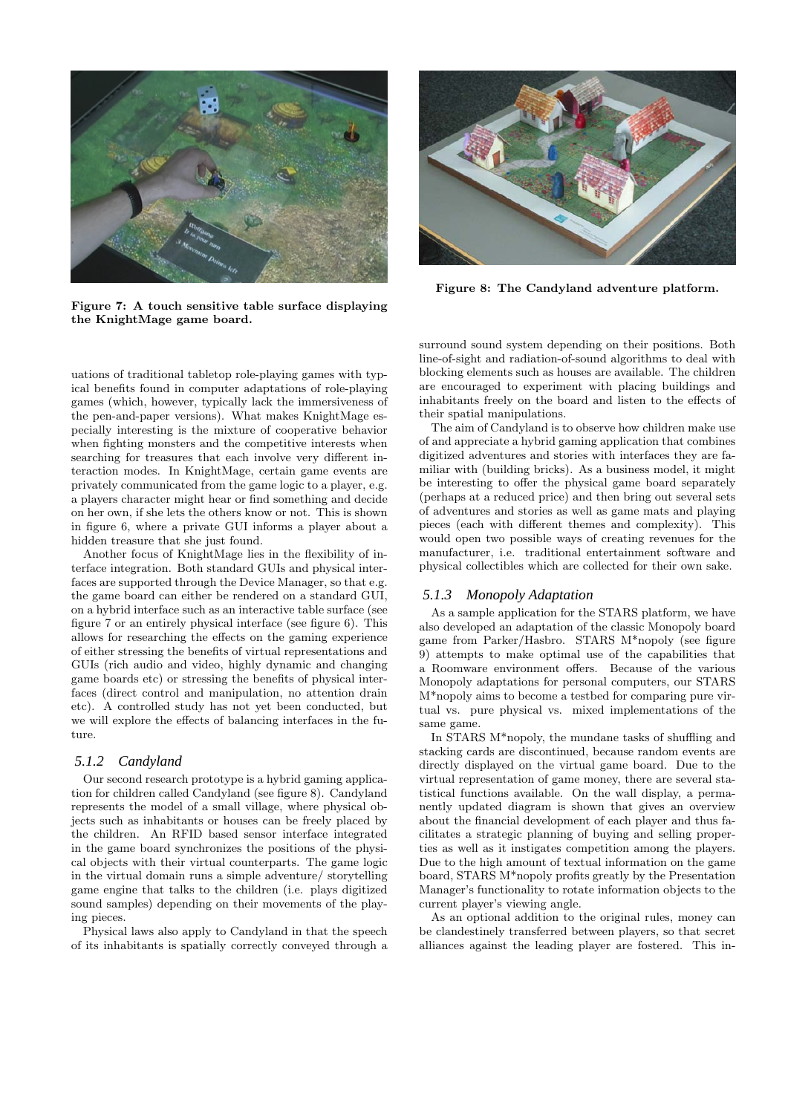



Figure 8: The Candyland adventure platform.

Figure 7: A touch sensitive table surface displaying the KnightMage game board.

uations of traditional tabletop role-playing games with typical benefits found in computer adaptations of role-playing games (which, however, typically lack the immersiveness of the pen-and-paper versions). What makes KnightMage especially interesting is the mixture of cooperative behavior when fighting monsters and the competitive interests when searching for treasures that each involve very different interaction modes. In KnightMage, certain game events are privately communicated from the game logic to a player, e.g. a players character might hear or find something and decide on her own, if she lets the others know or not. This is shown in figure 6, where a private GUI informs a player about a hidden treasure that she just found.

Another focus of KnightMage lies in the flexibility of interface integration. Both standard GUIs and physical interfaces are supported through the Device Manager, so that e.g. the game board can either be rendered on a standard GUI, on a hybrid interface such as an interactive table surface (see figure 7 or an entirely physical interface (see figure 6). This allows for researching the effects on the gaming experience of either stressing the benefits of virtual representations and GUIs (rich audio and video, highly dynamic and changing game boards etc) or stressing the benefits of physical interfaces (direct control and manipulation, no attention drain etc). A controlled study has not yet been conducted, but we will explore the effects of balancing interfaces in the future.

#### *5.1.2 Candyland*

Our second research prototype is a hybrid gaming application for children called Candyland (see figure 8). Candyland represents the model of a small village, where physical objects such as inhabitants or houses can be freely placed by the children. An RFID based sensor interface integrated in the game board synchronizes the positions of the physical objects with their virtual counterparts. The game logic in the virtual domain runs a simple adventure/ storytelling game engine that talks to the children (i.e. plays digitized sound samples) depending on their movements of the playing pieces.

Physical laws also apply to Candyland in that the speech of its inhabitants is spatially correctly conveyed through a

surround sound system depending on their positions. Both line-of-sight and radiation-of-sound algorithms to deal with blocking elements such as houses are available. The children are encouraged to experiment with placing buildings and inhabitants freely on the board and listen to the effects of their spatial manipulations.

The aim of Candyland is to observe how children make use of and appreciate a hybrid gaming application that combines digitized adventures and stories with interfaces they are familiar with (building bricks). As a business model, it might be interesting to offer the physical game board separately (perhaps at a reduced price) and then bring out several sets of adventures and stories as well as game mats and playing pieces (each with different themes and complexity). This would open two possible ways of creating revenues for the manufacturer, i.e. traditional entertainment software and physical collectibles which are collected for their own sake.

#### *5.1.3 Monopoly Adaptation*

As a sample application for the STARS platform, we have also developed an adaptation of the classic Monopoly board game from Parker/Hasbro. STARS M\*nopoly (see figure 9) attempts to make optimal use of the capabilities that a Roomware environment offers. Because of the various Monopoly adaptations for personal computers, our STARS M\*nopoly aims to become a testbed for comparing pure virtual vs. pure physical vs. mixed implementations of the same game.

In STARS M\*nopoly, the mundane tasks of shuffling and stacking cards are discontinued, because random events are directly displayed on the virtual game board. Due to the virtual representation of game money, there are several statistical functions available. On the wall display, a permanently updated diagram is shown that gives an overview about the financial development of each player and thus facilitates a strategic planning of buying and selling properties as well as it instigates competition among the players. Due to the high amount of textual information on the game board, STARS M\*nopoly profits greatly by the Presentation Manager's functionality to rotate information objects to the current player's viewing angle.

As an optional addition to the original rules, money can be clandestinely transferred between players, so that secret alliances against the leading player are fostered. This in-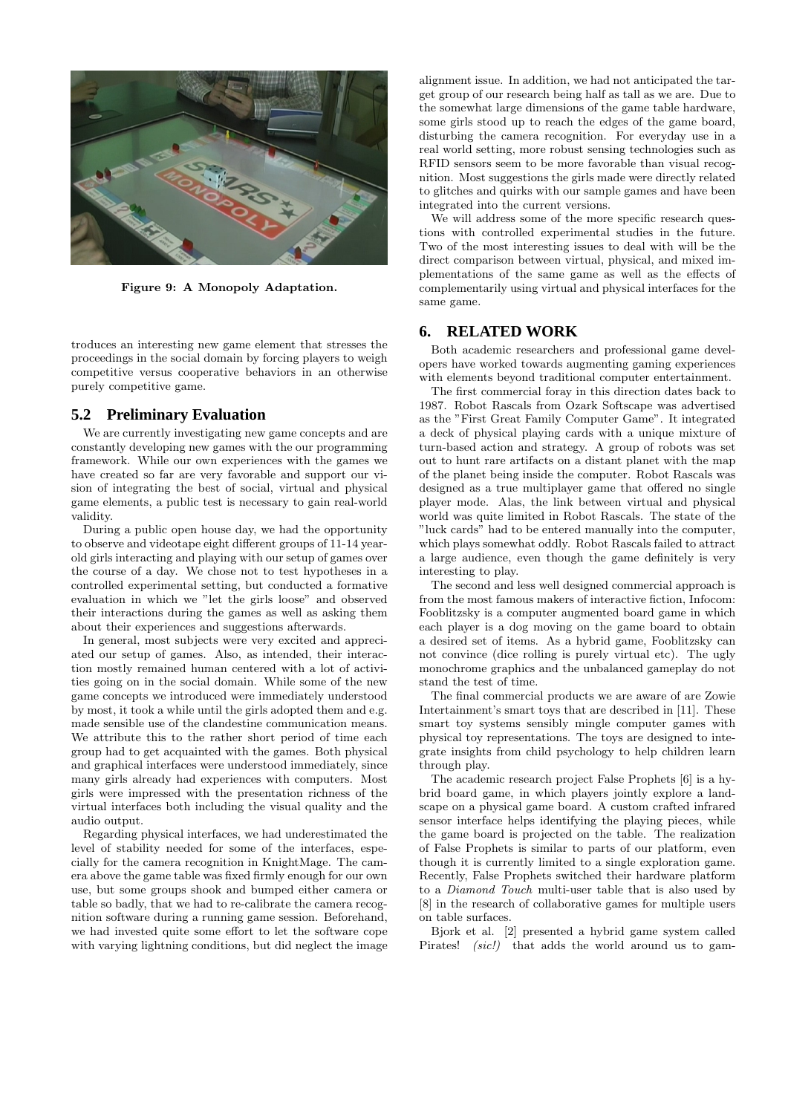

Figure 9: A Monopoly Adaptation.

troduces an interesting new game element that stresses the proceedings in the social domain by forcing players to weigh competitive versus cooperative behaviors in an otherwise purely competitive game.

# **5.2 Preliminary Evaluation**

We are currently investigating new game concepts and are constantly developing new games with the our programming framework. While our own experiences with the games we have created so far are very favorable and support our vision of integrating the best of social, virtual and physical game elements, a public test is necessary to gain real-world validity.

During a public open house day, we had the opportunity to observe and videotape eight different groups of 11-14 yearold girls interacting and playing with our setup of games over the course of a day. We chose not to test hypotheses in a controlled experimental setting, but conducted a formative evaluation in which we "let the girls loose" and observed their interactions during the games as well as asking them about their experiences and suggestions afterwards.

In general, most subjects were very excited and appreciated our setup of games. Also, as intended, their interaction mostly remained human centered with a lot of activities going on in the social domain. While some of the new game concepts we introduced were immediately understood by most, it took a while until the girls adopted them and e.g. made sensible use of the clandestine communication means. We attribute this to the rather short period of time each group had to get acquainted with the games. Both physical and graphical interfaces were understood immediately, since many girls already had experiences with computers. Most girls were impressed with the presentation richness of the virtual interfaces both including the visual quality and the audio output.

Regarding physical interfaces, we had underestimated the level of stability needed for some of the interfaces, especially for the camera recognition in KnightMage. The camera above the game table was fixed firmly enough for our own use, but some groups shook and bumped either camera or table so badly, that we had to re-calibrate the camera recognition software during a running game session. Beforehand, we had invested quite some effort to let the software cope with varying lightning conditions, but did neglect the image

alignment issue. In addition, we had not anticipated the target group of our research being half as tall as we are. Due to the somewhat large dimensions of the game table hardware, some girls stood up to reach the edges of the game board, disturbing the camera recognition. For everyday use in a real world setting, more robust sensing technologies such as RFID sensors seem to be more favorable than visual recognition. Most suggestions the girls made were directly related to glitches and quirks with our sample games and have been integrated into the current versions.

We will address some of the more specific research questions with controlled experimental studies in the future. Two of the most interesting issues to deal with will be the direct comparison between virtual, physical, and mixed implementations of the same game as well as the effects of complementarily using virtual and physical interfaces for the same game.

# **6. RELATED WORK**

Both academic researchers and professional game developers have worked towards augmenting gaming experiences with elements beyond traditional computer entertainment.

The first commercial foray in this direction dates back to 1987. Robot Rascals from Ozark Softscape was advertised as the "First Great Family Computer Game". It integrated a deck of physical playing cards with a unique mixture of turn-based action and strategy. A group of robots was set out to hunt rare artifacts on a distant planet with the map of the planet being inside the computer. Robot Rascals was designed as a true multiplayer game that offered no single player mode. Alas, the link between virtual and physical world was quite limited in Robot Rascals. The state of the "luck cards" had to be entered manually into the computer, which plays somewhat oddly. Robot Rascals failed to attract a large audience, even though the game definitely is very interesting to play.

The second and less well designed commercial approach is from the most famous makers of interactive fiction, Infocom: Fooblitzsky is a computer augmented board game in which each player is a dog moving on the game board to obtain a desired set of items. As a hybrid game, Fooblitzsky can not convince (dice rolling is purely virtual etc). The ugly monochrome graphics and the unbalanced gameplay do not stand the test of time.

The final commercial products we are aware of are Zowie Intertainment's smart toys that are described in [11]. These smart toy systems sensibly mingle computer games with physical toy representations. The toys are designed to integrate insights from child psychology to help children learn through play.

The academic research project False Prophets [6] is a hybrid board game, in which players jointly explore a landscape on a physical game board. A custom crafted infrared sensor interface helps identifying the playing pieces, while the game board is projected on the table. The realization of False Prophets is similar to parts of our platform, even though it is currently limited to a single exploration game. Recently, False Prophets switched their hardware platform to a Diamond Touch multi-user table that is also used by [8] in the research of collaborative games for multiple users on table surfaces.

Bjork et al. [2] presented a hybrid game system called Pirates! (sic!) that adds the world around us to gam